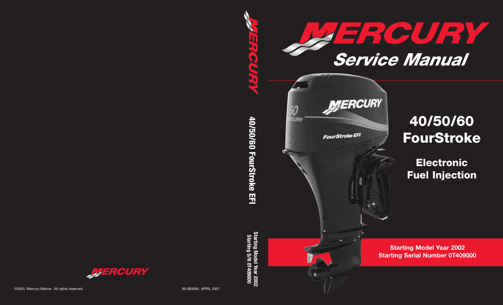<span id="page-0-0"></span>





# **40/50/60 FourStroke**

**Electronic Fuel Injection**

**Starting Model Year 2002 Starting Serial Number 0T409000**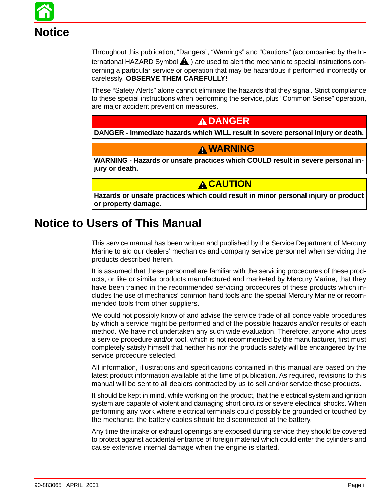

Throughout this publication, "Dangers", "Warnings" and "Cautions" (accompanied by the International HAZARD Symbol  $\triangle$  ) are used to alert the mechanic to special instructions concerning a particular service or operation that may be hazardous if performed incorrectly or carelessly. **OBSERVE THEM CAREFULLY!**

These "Safety Alerts" alone cannot eliminate the hazards that they signal. Strict compliance to these special instructions when performing the service, plus "Common Sense" operation, are major accident prevention measures.

#### **DANGER**

**DANGER - Immediate hazards which WILL result in severe personal injury or death.**

### **WARNING**

**WARNING - Hazards or unsafe practices which COULD result in severe personal injury or death.**

## **A CAUTION**

**Hazards or unsafe practices which could result in minor personal injury or product or property damage.**

## **Notice to Users of This Manual**

This service manual has been written and published by the Service Department of Mercury Marine to aid our dealers' mechanics and company service personnel when servicing the products described herein.

It is assumed that these personnel are familiar with the servicing procedures of these products, or like or similar products manufactured and marketed by Mercury Marine, that they have been trained in the recommended servicing procedures of these products which includes the use of mechanics' common hand tools and the special Mercury Marine or recommended tools from other suppliers.

We could not possibly know of and advise the service trade of all conceivable procedures by which a service might be performed and of the possible hazards and/or results of each method. We have not undertaken any such wide evaluation. Therefore, anyone who uses a service procedure and/or tool, which is not recommended by the manufacturer, first must completely satisfy himself that neither his nor the products safety will be endangered by the service procedure selected.

All information, illustrations and specifications contained in this manual are based on the latest product information available at the time of publication. As required, revisions to this manual will be sent to all dealers contracted by us to sell and/or service these products.

It should be kept in mind, while working on the product, that the electrical system and ignition system are capable of violent and damaging short circuits or severe electrical shocks. When performing any work where electrical terminals could possibly be grounded or touched by the mechanic, the battery cables should be disconnected at the battery.

Any time the intake or exhaust openings are exposed during service they should be covered to protect against accidental entrance of foreign material which could enter the cylinders and cause extensive internal damage when the engine is started.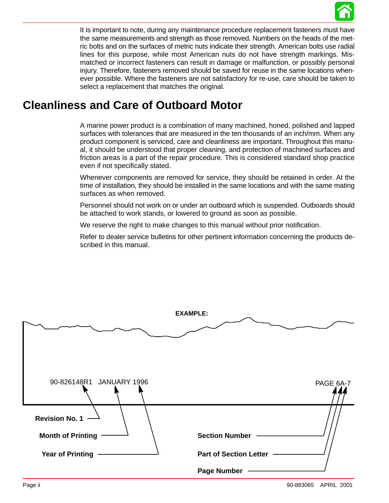

It is important to note, during any maintenance procedure replacement fasteners must have the same measurements and strength as those removed. Numbers on the heads of the metric bolts and on the surfaces of metric nuts indicate their strength. American bolts use radial lines for this purpose, while most American nuts do not have strength markings. Mismatched or incorrect fasteners can result in damage or malfunction, or possibly personal injury. Therefore, fasteners removed should be saved for reuse in the same locations whenever possible. Where the fasteners are not satisfactory for re-use, care should be taken to select a replacement that matches the original.

# **Cleanliness and Care of Outboard Motor**

A marine power product is a combination of many machined, honed, polished and lapped surfaces with tolerances that are measured in the ten thousands of an inch/mm. When any product component is serviced, care and cleanliness are important. Throughout this manual, it should be understood that proper cleaning, and protection of machined surfaces and friction areas is a part of the repair procedure. This is considered standard shop practice even if not specifically stated.

Whenever components are removed for service, they should be retained in order. At the time of installation, they should be installed in the same locations and with the same mating surfaces as when removed.

Personnel should not work on or under an outboard which is suspended. Outboards should be attached to work stands, or lowered to ground as soon as possible.

We reserve the right to make changes to this manual without prior notification.

Refer to dealer service bulletins for other pertinent information concerning the products described in this manual.